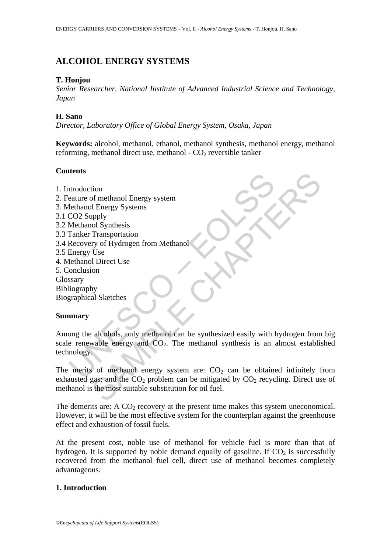## **ALCOHOL ENERGY SYSTEMS**

#### **T. Honjou**

*Senior Researcher, National Institute of Advanced Industrial Science and Technology, Japan* 

### **H. Sano**

*Director, Laboratory Office of Global Energy System, Osaka, Japan* 

**Keywords:** alcohol, methanol, ethanol, methanol synthesis, methanol energy, methanol reforming, methanol direct use, methanol -  $CO<sub>2</sub>$  reversible tanker

### **Contents**

- 1. Introduction
- 2. Feature of methanol Energy system
- 3. Methanol Energy Systems
- 3.1 CO2 Supply
- 3.2 Methanol Synthesis
- 3.3 Tanker Transportation
- 3.4 Recovery of Hydrogen from Methanol
- 3.5 Energy Use
- 4. Methanol Direct Use
- 5. Conclusion
- Glossary
- Bibliography
- Biographical Sketches

#### **Summary**

at a strong the methanol Energy system<br>
at a structure of methanol Energy systems<br>
CO2 Supply<br>
Tenker Transportation<br>
Recovery of Hydrogen from Methanol<br>
Energy Use<br>
techanol Direct Use<br>
onclusion<br>
ssary<br>
stransportance Us Transportation<br>
of methanol Energy Systems<br>
I Bnergy Systems<br>
Ipply<br>
old Synthesis<br>
Transportation<br>
Use<br>
Use<br>
Use<br>
On<br>
In Direct Use<br>
On<br>
All Direct Use<br>
on<br>
All Direct Use<br>
on<br>
All Direct Use<br>
on<br>
All Direct Use<br>
on<br>
also Among the alcohols, only methanol can be synthesized easily with hydrogen from big scale renewable energy and  $CO<sub>2</sub>$ . The methanol synthesis is an almost established technology.

The merits of methanol energy system are:  $CO<sub>2</sub>$  can be obtained infinitely from exhausted gas; and the  $CO_2$  problem can be mitigated by  $CO_2$  recycling. Direct use of methanol is the most suitable substitution for oil fuel.

The demerits are: A  $CO_2$  recovery at the present time makes this system uneconomical. However, it will be the most effective system for the counterplan against the greenhouse effect and exhaustion of fossil fuels.

At the present cost, noble use of methanol for vehicle fuel is more than that of hydrogen. It is supported by noble demand equally of gasoline. If  $CO<sub>2</sub>$  is successfully recovered from the methanol fuel cell, direct use of methanol becomes completely advantageous.

## **1. Introduction**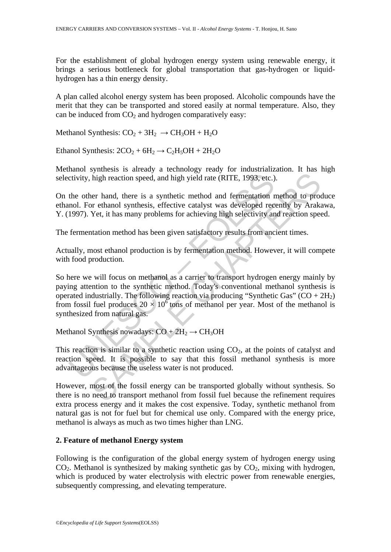For the establishment of global hydrogen energy system using renewable energy, it brings a serious bottleneck for global transportation that gas-hydrogen or liquidhydrogen has a thin energy density.

A plan called alcohol energy system has been proposed. Alcoholic compounds have the merit that they can be transported and stored easily at normal temperature. Also, they can be induced from  $CO<sub>2</sub>$  and hydrogen comparatively easy:

Methanol Synthesis:  $CO<sub>2</sub> + 3H<sub>2</sub> \rightarrow CH<sub>3</sub>OH + H<sub>2</sub>O$ 

Ethanol Synthesis:  $2CO_2 + 6H_2 \rightarrow C_2H_5OH + 2H_2O$ 

Methanol synthesis is already a technology ready for industrialization. It has high selectivity, high reaction speed, and high yield rate (RITE, 1993, etc.).

On the other hand, there is a synthetic method and fermentation method to produce ethanol. For ethanol synthesis, effective catalyst was developed recently by Arakawa, Y. (1997). Yet, it has many problems for achieving high selectivity and reaction speed.

The fermentation method has been given satisfactory results from ancient times.

Actually, most ethanol production is by fermentation method. However, it will compete with food production.

ctivity, high reaction speed, and high yield rate (RITE, 1993, etc.)<br>the other hand, there is a synthetic method and fermentation r<br>nol. For ethanol synthesis, effective catalyst was developed rec<br>1997). Yet, it has many high reaction speed, and high yield rate (RITE, 1993, etc.).<br>
ner hand, there is a synthetic method and fermentation method to proor ethanol synthesis, effective catalyst was developed recently by ArakYet, it has many pro So here we will focus on methanol as a carrier to transport hydrogen energy mainly by paying attention to the synthetic method. Today's conventional methanol synthesis is operated industrially. The following reaction via producing "Synthetic Gas"  $(CO + 2H<sub>2</sub>)$ from fossil fuel produces  $20 \times 10^6$  tons of methanol per year. Most of the methanol is synthesized from natural gas.

Methanol Synthesis nowadays:  $CO + 2H_2 \rightarrow CH_3OH$ 

This reaction is similar to a synthetic reaction using  $CO<sub>2</sub>$ , at the points of catalyst and reaction speed. It is possible to say that this fossil methanol synthesis is more advantageous because the useless water is not produced.

However, most of the fossil energy can be transported globally without synthesis. So there is no need to transport methanol from fossil fuel because the refinement requires extra process energy and it makes the cost expensive. Today, synthetic methanol from natural gas is not for fuel but for chemical use only. Compared with the energy price, methanol is always as much as two times higher than LNG.

#### **2. Feature of methanol Energy system**

Following is the configuration of the global energy system of hydrogen energy using CO<sub>2</sub>. Methanol is synthesized by making synthetic gas by CO<sub>2</sub>, mixing with hydrogen, which is produced by water electrolysis with electric power from renewable energies, subsequently compressing, and elevating temperature.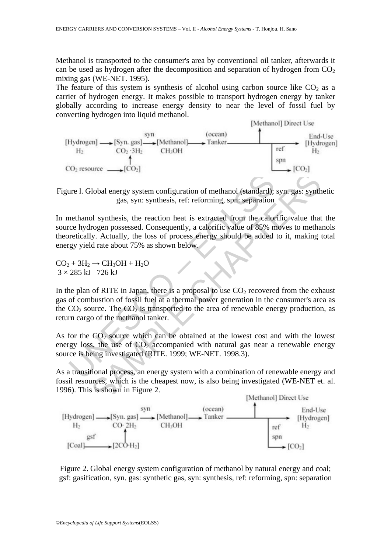Methanol is transported to the consumer's area by conventional oil tanker, afterwards it can be used as hydrogen after the decomposition and separation of hydrogen from  $CO<sub>2</sub>$ mixing gas (WE-NET. 1995).

The feature of this system is synthesis of alcohol using carbon source like  $CO<sub>2</sub>$  as a carrier of hydrogen energy. It makes possible to transport hydrogen energy by tanker globally according to increase energy density to near the level of fossil fuel by converting hydrogen into liquid methanol.



Figure l. Global energy system configuration of methanol (standard); syn. gas: synthetic gas, syn: synthesis, ref: reforming, spn: separation

are 1. Global energy system configuration of methanol (standard);<br>gas, syn: synthesis, ref: reforming, spn: separation<br>methanol synthesis, the reaction heat is extracted from the calor<br>ce hydrogen possessed. Consequently, Iobal energy system configuration of methanol (standard); syn. gas: synth<br>gas, syn: synthesis, ref: reforming, spn: separation<br>Dl synthesis, the reaction heat is extracted from the calorific value that<br>rogen possessed. C In methanol synthesis, the reaction heat is extracted from the calorific value that the source hydrogen possessed. Consequently, a calorific value of 85% moves to methanols theoretically. Actually, the loss of process energy should be added to it, making total energy yield rate about 75% as shown below.

 $CO<sub>2</sub> + 3H<sub>2</sub> \rightarrow CH<sub>3</sub>OH + H<sub>2</sub>O$  $3 \times 285$  kJ 726 kJ

In the plan of RITE in Japan, there is a proposal to use  $CO<sub>2</sub>$  recovered from the exhaust gas of combustion of fossil fuel at a thermal power generation in the consumer's area as the  $CO_2$  source. The  $CO_2$  is transported to the area of renewable energy production, as return cargo of the methanol tanker.

As for the  $CO<sub>2</sub>$  source which can be obtained at the lowest cost and with the lowest energy loss, the use of  $CO<sub>2</sub>$  accompanied with natural gas near a renewable energy source is being investigated (RITE. 1999; WE-NET. 1998.3).

As a transitional process, an energy system with a combination of renewable energy and fossil resources, which is the cheapest now, is also being investigated (WE-NET et. al. 1996). This is shown in Figure 2.



Figure 2. Global energy system configuration of methanol by natural energy and coal; gsf: gasification, syn. gas: synthetic gas, syn: synthesis, ref: reforming, spn: separation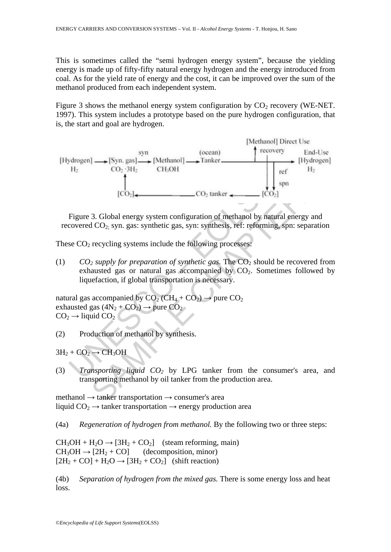This is sometimes called the "semi hydrogen energy system", because the yielding energy is made up of fifty-fifty natural energy hydrogen and the energy introduced from coal. As for the yield rate of energy and the cost, it can be improved over the sum of the methanol produced from each independent system.

Figure 3 shows the methanol energy system configuration by  $CO<sub>2</sub>$  recovery (WE-NET. 1997). This system includes a prototype based on the pure hydrogen configuration, that is, the start and goal are hydrogen.



Figure 3. Global energy system configuration of methanol by natural energy and recovered CO2; syn. gas: synthetic gas, syn: synthesis, ref: reforming, spn: separation

These  $CO<sub>2</sub>$  recycling systems include the following processes:

(1)  $CO_2$  supply for preparation of synthetic gas. The  $CO_2$  should be recovered from exhausted gas or natural gas accompanied by  $CO<sub>2</sub>$ . Sometimes followed by liquefaction, if global transportation is necessary.

natural gas accompanied by  $CO_2$  (CH<sub>4</sub> + CO<sub>2</sub>)  $\rightarrow$  pure CO<sub>2</sub> exhausted gas  $(4N_2 + CO_2) \rightarrow$  pure  $CO_2$ .  $CO<sub>2</sub> \rightarrow$  liquid  $CO<sub>2</sub>$ 

(2) Production of methanol by synthesis.

 $3H_2 + CO_2 \rightarrow CH_3OH$ 

(3) *Transporting liquid CO2* by LPG tanker from the consumer's area, and transporting methanol by oil tanker from the production area.

methanol  $\rightarrow$  tanker transportation  $\rightarrow$  consumer's area liquid  $CO<sub>2</sub> \rightarrow$  tanker transportation  $\rightarrow$  energy production area

(4a) *Regeneration of hydrogen from methanol.* By the following two or three steps:

 $CH_3OH + H_2O \rightarrow [3H_2 + CO_2]$  (steam reforming, main)  $CH_3OH \rightarrow [2H_2 + CO]$  (decomposition, minor)  $[2H_2 + CO] + H_2O \rightarrow [3H_2 + CO_2]$  (shift reaction)

(4b) *Separation of hydrogen from the mixed gas.* There is some energy loss and heat loss.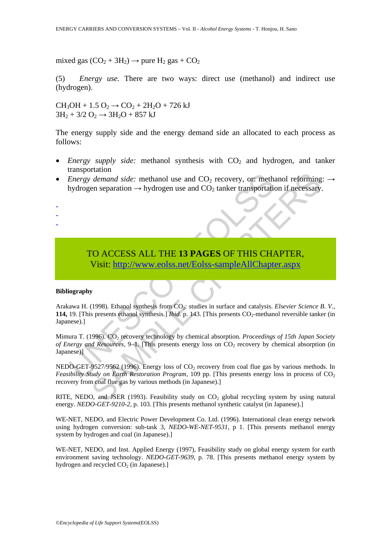mixed gas  $(CO_2 + 3H_2) \rightarrow$  pure  $H_2$  gas +  $CO_2$ 

(5) *Energy use.* There are two ways: direct use (methanol) and indirect use (hydrogen).

 $CH_3OH + 1.5 O_2 \rightarrow CO_2 + 2H_2O + 726 kJ$  $3H_2 + 3/2 O_2 \rightarrow 3H_2O + 857 kJ$ 

The energy supply side and the energy demand side an allocated to each process as follows:

- *Energy supply side:* methanol synthesis with CO<sub>2</sub> and hydrogen, and tanker transportation
- *Energy demand side:* methanol use and  $CO_2$  recovery, or: methanol reforming:  $\rightarrow$ hydrogen separation  $\rightarrow$  hydrogen use and CO<sub>2</sub> tanker transportation if necessary.
- -
- -

-

# TO ACCESS ALL THE **13 PAGES** OF THIS CHAPTER,

Visit: http://www.eolss.net/Eolss-sampleAllChapter.aspx

#### **Bibliography**

Energy demand side: methanol use and CO<sub>2</sub> recovery, or: methanol<br>
Energy demand side: methanol use and CO<sub>2</sub> tanker transportation<br>  $\rightarrow$  hydrogen use and CO<sub>2</sub> tanker transportation<br>  $\rightarrow$  Nisit: http://www.eolss.net/Eols demand side: methanol use and CO<sub>2</sub> recovery, or: methanol reforming<br>en separation  $\rightarrow$  hydrogen use and CO<sub>2</sub> tanker transportation if necessary<br>en separation  $\rightarrow$  hydrogen use and CO<sub>2</sub> tanker transportation if necessar Arakawa H. (1998). Ethanol synthesis from CO<sub>2</sub>: studies in surface and catalysis. *Elsevier Science B. V.*, 114, 19. [This presents ethanol synthesis.] *Ibid.* p. 143. [This presents  $CO_2$ -methanol reversible tanker (in Japanese).]

Mimura T. (1996). CO<sub>2</sub> recovery technology by chemical absorption. *Proceedings of 15th Japan Society of Energy and Resources, 9–1.* [This presents energy loss on CO<sub>2</sub> recovery by chemical absorption (in Japanese)]

NEDO-GET-9527/9562 (1996). Energy loss of CO<sub>2</sub> recovery from coal flue gas by various methods. In *Feasibility Study on Earth Restoration Program*, 109 pp. [This presents energy loss in process of CO<sub>2</sub> recovery from coal flue gas by various methods (in Japanese).]

RITE, NEDO, and JSER (1993). Feasibility study on  $CO<sub>2</sub>$  global recycling system by using natural energy. *NEDO-GET-9210-2*, p. 103. [This presents methanol synthetic catalyst (in Japanese).]

WE-NET, NEDO, and Electric Power Development Co. Ltd. (1996). International clean energy network using hydrogen conversion: sub-task 3, *NEDO-WE-NET-9531*, p 1. [This presents methanol energy system by hydrogen and coal (in Japanese).]

WE-NET, NEDO, and Inst. Applied Energy (1997), Feasibility study on global energy system for earth environment saving technology. *NEDO-GET-9639*, p. 78. [This presents methanol energy system by hydrogen and recycled  $CO<sub>2</sub>$  (in Japanese).]